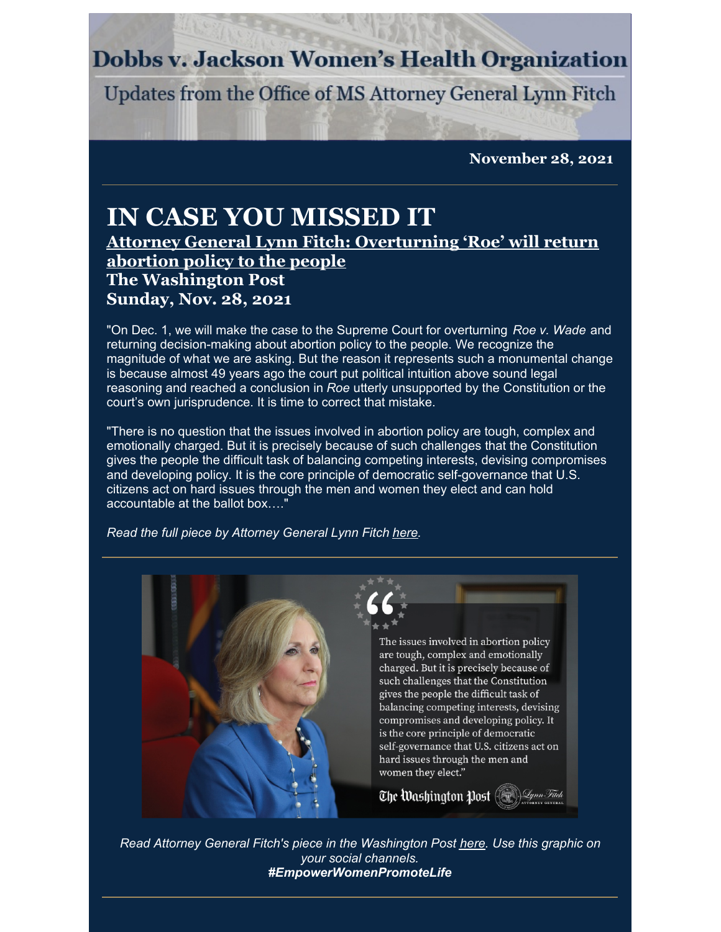## **Dobbs v. Jackson Women's Health Organization**

Updates from the Office of MS Attorney General Lynn Fitch

**November 28, 2021**

## **IN CASE YOU MISSED IT**

**Attorney General Lynn Fitch: [Overturning](https://www.washingtonpost.com/opinions/2021/11/28/mississippi-attorney-general-says-overturning-roe-will-let-voters-decide-abortion-policy/) 'Roe' will return abortion policy to the people The Washington Post Sunday, Nov. 28, 2021**

"On Dec. 1, we will make the case to the Supreme Court for overturning *Roe v. Wade* and returning decision-making about abortion policy to the people. We recognize the magnitude of what we are asking. But the reason it represents such a monumental change is because almost 49 years ago the court put political intuition above sound legal reasoning and reached a conclusion in *Roe* utterly unsupported by the Constitution or the court's own jurisprudence. It is time to correct that mistake.

"There is no question that the issues involved in abortion policy are tough, complex and emotionally charged. But it is precisely because of such challenges that the Constitution gives the people the difficult task of balancing competing interests, devising compromises and developing policy. It is the core principle of democratic self-governance that U.S. citizens act on hard issues through the men and women they elect and can hold accountable at the ballot box…."

*Read the full piece by Attorney General Lynn Fitch [here](https://www.washingtonpost.com/opinions/2021/11/28/mississippi-attorney-general-says-overturning-roe-will-let-voters-decide-abortion-policy/).*



*Read Attorney General Fitch's piece in the Washington Post [here](https://www.washingtonpost.com/opinions/2021/11/28/mississippi-attorney-general-says-overturning-roe-will-let-voters-decide-abortion-policy/). Use this graphic on your social channels. #EmpowerWomenPromoteLife*